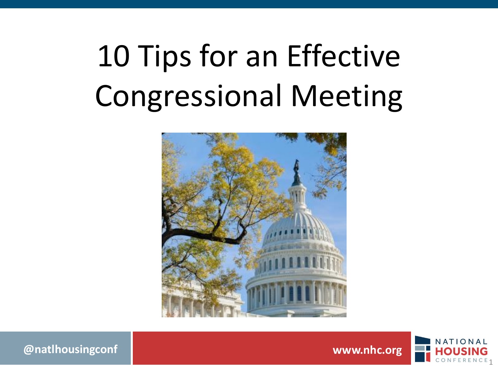# 10 Tips for an Effective Congressional Meeting



**@natlhousingconf www.nhc.org**

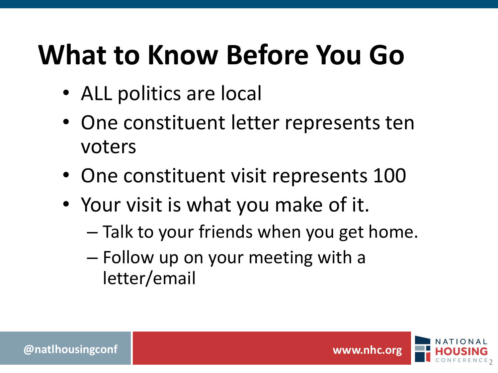#### **What to Know Before You Go**

- ALL politics are local
- One constituent letter represents ten voters
- One constituent visit represents 100
- Your visit is what you make of it.
	- Talk to your friends when you get home.
	- Follow up on your meeting with a letter/email

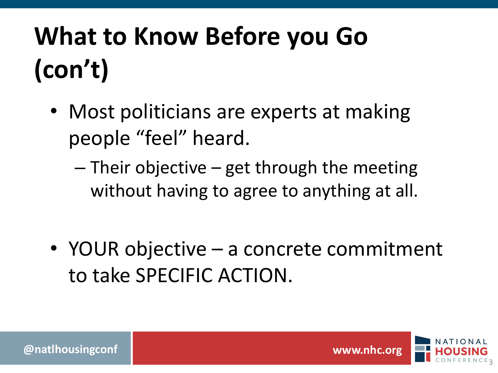#### **What to Know Before you Go (con't)**

- Most politicians are experts at making people "feel" heard.
	- $-$  Their objective  $-$  get through the meeting without having to agree to anything at all.
- YOUR objective a concrete commitment to take SPECIFIC ACTION.

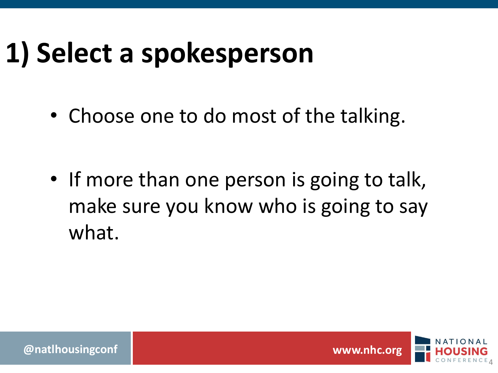#### **1) Select a spokesperson**

• Choose one to do most of the talking.

• If more than one person is going to talk, make sure you know who is going to say what.

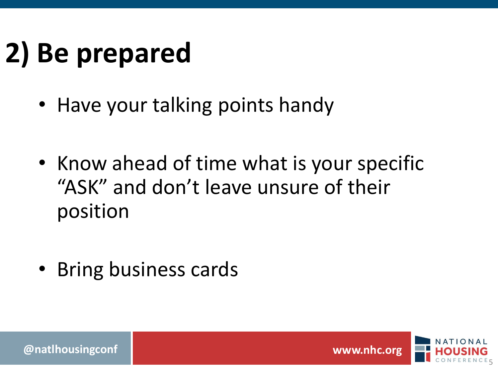# **2) Be prepared**

- Have your talking points handy
- Know ahead of time what is your specific "ASK" and don't leave unsure of their position
- Bring business cards

**@natlhousingconf www.nhc.org**

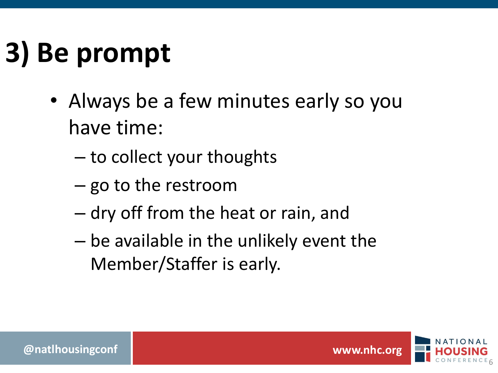# **3) Be prompt**

- Always be a few minutes early so you have time:
	- to collect your thoughts
	- go to the restroom
	- dry off from the heat or rain, and
	- be available in the unlikely event the Member/Staffer is early.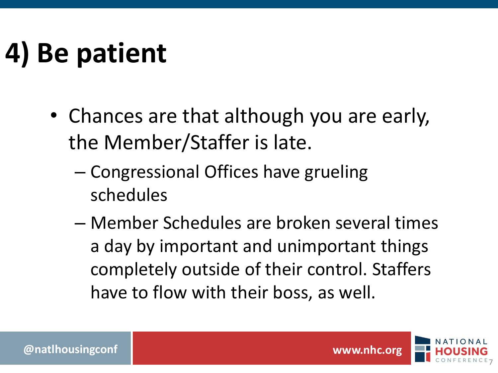# **4) Be patient**

- Chances are that although you are early, the Member/Staffer is late.
	- Congressional Offices have grueling schedules
	- Member Schedules are broken several times a day by important and unimportant things completely outside of their control. Staffers have to flow with their boss, as well.



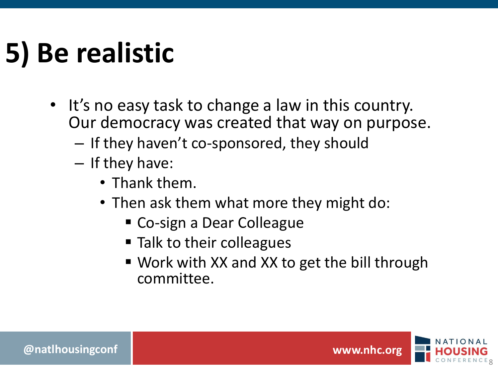# **5) Be realistic**

- It's no easy task to change a law in this country. Our democracy was created that way on purpose.
	- If they haven't co-sponsored, they should
	- If they have:
		- Thank them.
		- Then ask them what more they might do:
			- Co-sign a Dear Colleague
			- Talk to their colleagues
			- Work with XX and XX to get the bill through committee.

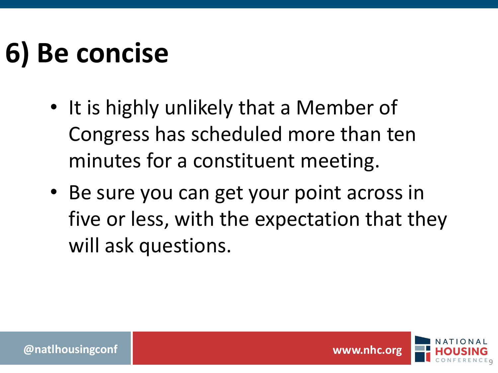### **6) Be concise**

- It is highly unlikely that a Member of Congress has scheduled more than ten minutes for a constituent meeting.
- Be sure you can get your point across in five or less, with the expectation that they will ask questions.

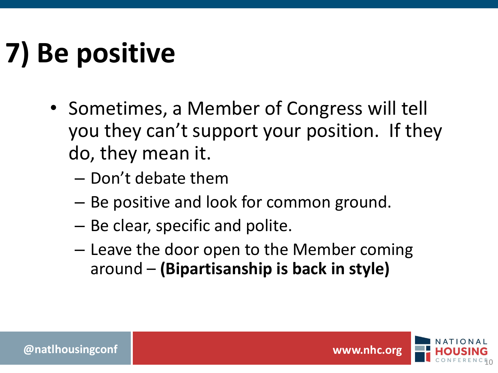# **7) Be positive**

- Sometimes, a Member of Congress will tell you they can't support your position. If they do, they mean it.
	- Don't debate them
	- Be positive and look for common ground.
	- Be clear, specific and polite.
	- Leave the door open to the Member coming around – **(Bipartisanship is back in style)**

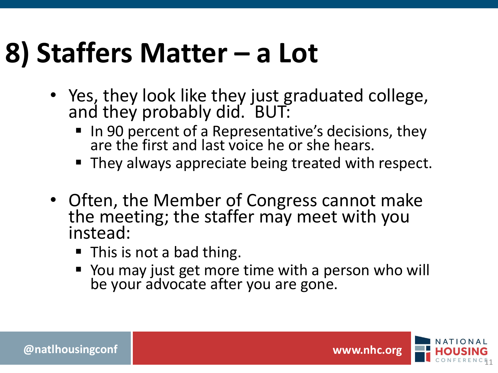#### **8) Staffers Matter – a Lot**

- Yes, they look like they just graduated college, and they probably did. BUT:
	- In 90 percent of a Representative's decisions, they are the first and last voice he or she hears.
	- They always appreciate being treated with respect.
- Often, the Member of Congress cannot make the meeting; the staffer may meet with you instead:
	- This is not a bad thing.
	- You may just get more time with a person who will be your advocate after you are gone.

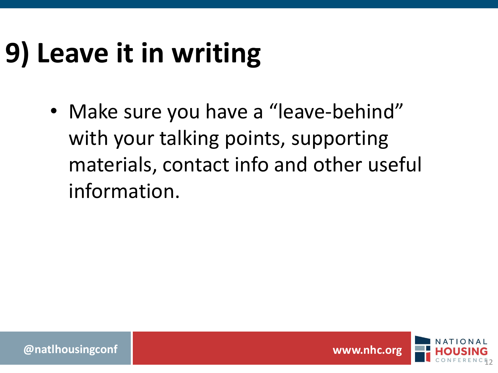# **9) Leave it in writing**

• Make sure you have a "leave-behind" with your talking points, supporting materials, contact info and other useful information.

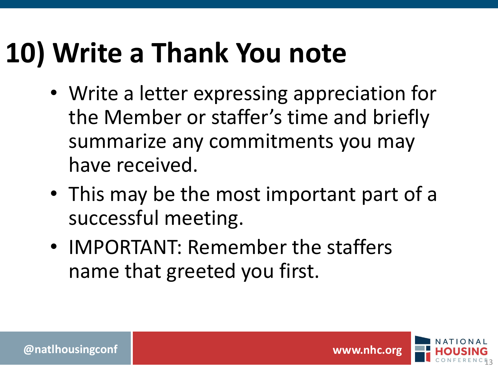#### **10) Write a Thank You note**

- Write a letter expressing appreciation for the Member or staffer's time and briefly summarize any commitments you may have received.
- This may be the most important part of a successful meeting.
- IMPORTANT: Remember the staffers name that greeted you first.